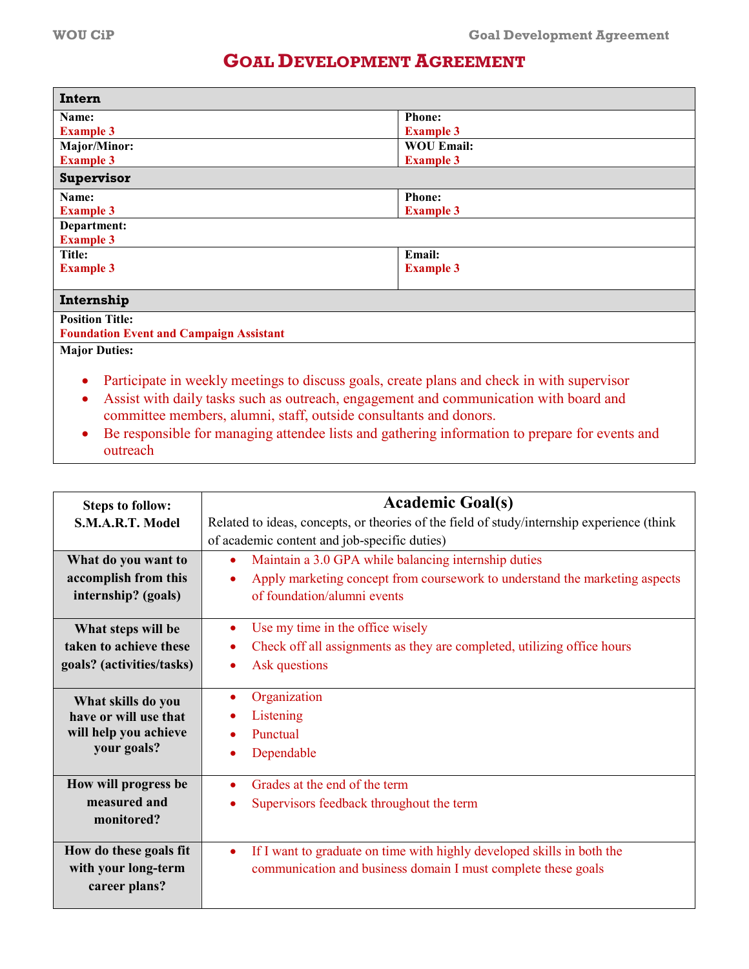## **GOAL DEVELOPMENT AGREEMENT**

| Intern                                                                                                  |                   |  |
|---------------------------------------------------------------------------------------------------------|-------------------|--|
| Name:                                                                                                   | <b>Phone:</b>     |  |
| <b>Example 3</b>                                                                                        | <b>Example 3</b>  |  |
| <b>Major/Minor:</b>                                                                                     | <b>WOU Email:</b> |  |
| <b>Example 3</b>                                                                                        | <b>Example 3</b>  |  |
| Supervisor                                                                                              |                   |  |
| Name:                                                                                                   | <b>Phone:</b>     |  |
| <b>Example 3</b>                                                                                        | <b>Example 3</b>  |  |
| Department:                                                                                             |                   |  |
| <b>Example 3</b>                                                                                        |                   |  |
| <b>Title:</b>                                                                                           | Email:            |  |
| <b>Example 3</b>                                                                                        | <b>Example 3</b>  |  |
|                                                                                                         |                   |  |
| Internship                                                                                              |                   |  |
| <b>Position Title:</b>                                                                                  |                   |  |
| <b>Foundation Event and Campaign Assistant</b>                                                          |                   |  |
| <b>Major Duties:</b>                                                                                    |                   |  |
|                                                                                                         |                   |  |
| Participate in weekly meetings to discuss goals, create plans and check in with supervisor<br>$\bullet$ |                   |  |
| Assist with daily tasks such as outreach, engagement and communication with board and<br>$\bullet$      |                   |  |
|                                                                                                         |                   |  |
| committee members, alumni, staff, outside consultants and donors.                                       |                   |  |

• Be responsible for managing attendee lists and gathering information to prepare for events and outreach

| <b>Steps to follow:</b><br>S.M.A.R.T. Model                        | <b>Academic Goal(s)</b><br>Related to ideas, concepts, or theories of the field of study/internship experience (think<br>of academic content and job-specific duties)           |  |
|--------------------------------------------------------------------|---------------------------------------------------------------------------------------------------------------------------------------------------------------------------------|--|
| What do you want to<br>accomplish from this<br>internship? (goals) | Maintain a 3.0 GPA while balancing internship duties<br>$\bullet$<br>Apply marketing concept from coursework to understand the marketing aspects<br>of foundation/alumni events |  |
| What steps will be                                                 | Use my time in the office wisely                                                                                                                                                |  |
| taken to achieve these                                             | Check off all assignments as they are completed, utilizing office hours                                                                                                         |  |
| goals? (activities/tasks)                                          | Ask questions                                                                                                                                                                   |  |
| What skills do you                                                 | Organization                                                                                                                                                                    |  |
| have or will use that                                              | Listening                                                                                                                                                                       |  |
| will help you achieve                                              | Punctual                                                                                                                                                                        |  |
| your goals?                                                        | Dependable                                                                                                                                                                      |  |
| How will progress be<br>measured and<br>monitored?                 | Grades at the end of the term<br>Supervisors feedback throughout the term                                                                                                       |  |
| How do these goals fit                                             | If I want to graduate on time with highly developed skills in both the                                                                                                          |  |
| with your long-term                                                | $\bullet$                                                                                                                                                                       |  |
| career plans?                                                      | communication and business domain I must complete these goals                                                                                                                   |  |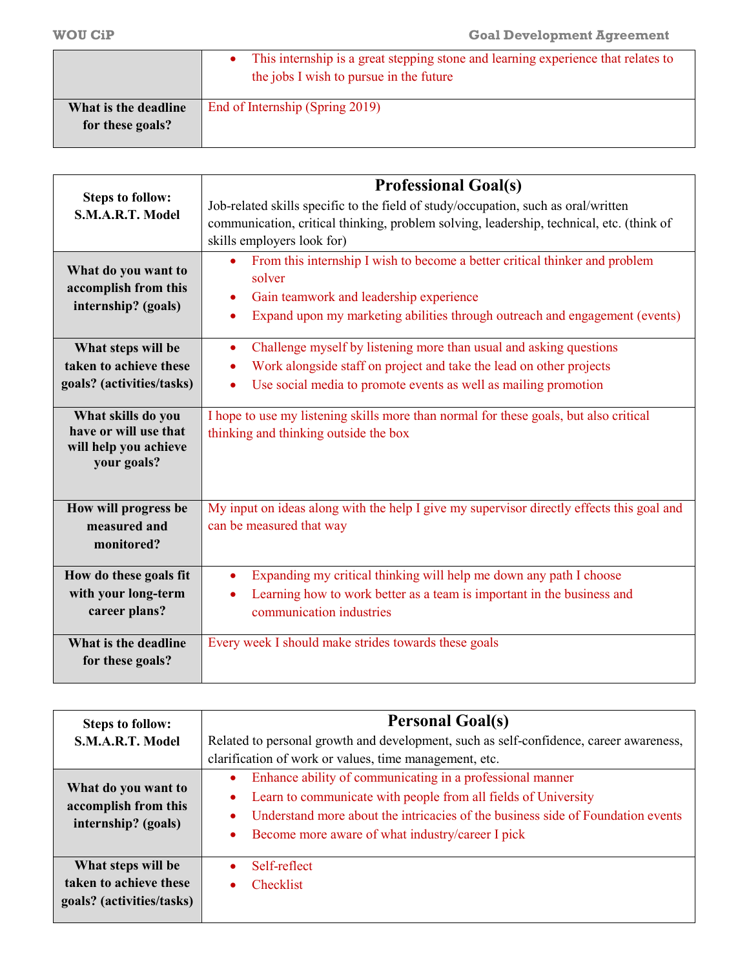|                      | This internship is a great stepping stone and learning experience that relates to<br>the jobs I wish to pursue in the future |
|----------------------|------------------------------------------------------------------------------------------------------------------------------|
| What is the deadline | End of Internship (Spring 2019)                                                                                              |
| for these goals?     |                                                                                                                              |

|                                                                                     | <b>Professional Goal(s)</b>                                                                                                                                                                                                       |  |
|-------------------------------------------------------------------------------------|-----------------------------------------------------------------------------------------------------------------------------------------------------------------------------------------------------------------------------------|--|
| <b>Steps to follow:</b><br>S.M.A.R.T. Model                                         | Job-related skills specific to the field of study/occupation, such as oral/written                                                                                                                                                |  |
|                                                                                     | communication, critical thinking, problem solving, leadership, technical, etc. (think of<br>skills employers look for)                                                                                                            |  |
| What do you want to<br>accomplish from this<br>internship? (goals)                  | From this internship I wish to become a better critical thinker and problem<br>$\bullet$<br>solver<br>Gain teamwork and leadership experience<br>Expand upon my marketing abilities through outreach and engagement (events)<br>٠ |  |
| What steps will be                                                                  | Challenge myself by listening more than usual and asking questions<br>$\bullet$                                                                                                                                                   |  |
| taken to achieve these                                                              | Work alongside staff on project and take the lead on other projects                                                                                                                                                               |  |
| goals? (activities/tasks)                                                           | Use social media to promote events as well as mailing promotion                                                                                                                                                                   |  |
| What skills do you<br>have or will use that<br>will help you achieve<br>your goals? | I hope to use my listening skills more than normal for these goals, but also critical<br>thinking and thinking outside the box                                                                                                    |  |
| How will progress be                                                                | My input on ideas along with the help I give my supervisor directly effects this goal and                                                                                                                                         |  |
| measured and<br>monitored?                                                          | can be measured that way                                                                                                                                                                                                          |  |
| How do these goals fit                                                              | Expanding my critical thinking will help me down any path I choose                                                                                                                                                                |  |
| with your long-term                                                                 | Learning how to work better as a team is important in the business and                                                                                                                                                            |  |
| career plans?                                                                       | communication industries                                                                                                                                                                                                          |  |
| What is the deadline                                                                | Every week I should make strides towards these goals                                                                                                                                                                              |  |
| for these goals?                                                                    |                                                                                                                                                                                                                                   |  |

| <b>Steps to follow:</b>                             | <b>Personal Goal(s)</b>                                                                                                                                                                            |  |  |
|-----------------------------------------------------|----------------------------------------------------------------------------------------------------------------------------------------------------------------------------------------------------|--|--|
| S.M.A.R.T. Model                                    | Related to personal growth and development, such as self-confidence, career awareness,                                                                                                             |  |  |
| What do you want to<br>accomplish from this         | clarification of work or values, time management, etc.<br>Enhance ability of communicating in a professional manner<br>Learn to communicate with people from all fields of University<br>$\bullet$ |  |  |
| internship? (goals)                                 | Understand more about the intricacies of the business side of Foundation events<br>Become more aware of what industry/career I pick                                                                |  |  |
| What steps will be                                  | Self-reflect                                                                                                                                                                                       |  |  |
| taken to achieve these<br>goals? (activities/tasks) | <b>Checklist</b>                                                                                                                                                                                   |  |  |